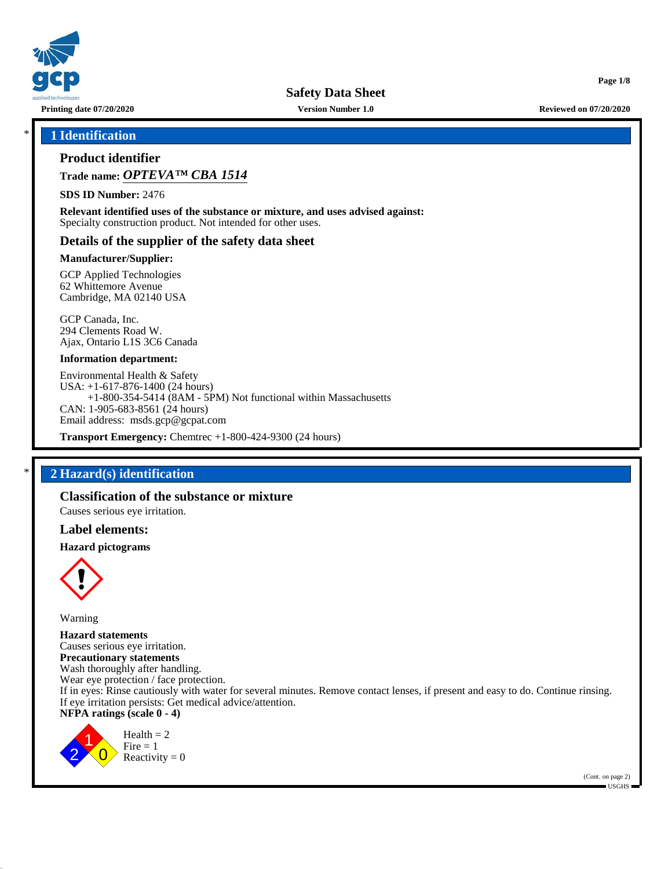

**Printing date 07/20/2020 Version Number 1.0 Reviewed on 07/20/2020**

**Page 1/8**

## \* **1 Identification**

## **Product identifier**

**Trade name:** *OPTEVA™ CBA 1514*

**SDS ID Number:** 2476

**Relevant identified uses of the substance or mixture, and uses advised against:** Specialty construction product. Not intended for other uses.

### **Details of the supplier of the safety data sheet**

#### **Manufacturer/Supplier:**

GCP Applied Technologies 62 Whittemore Avenue Cambridge, MA 02140 USA

GCP Canada, Inc. 294 Clements Road W. Ajax, Ontario L1S 3C6 Canada

### **Information department:**

Environmental Health & Safety USA: +1-617-876-1400 (24 hours) +1-800-354-5414 (8AM - 5PM) Not functional within Massachusetts CAN: 1-905-683-8561 (24 hours) Email address: msds.gcp@gcpat.com

**Transport Emergency:** Chemtrec +1-800-424-9300 (24 hours)

## \* **2 Hazard(s) identification**

## **Classification of the substance or mixture**

Causes serious eye irritation.

### **Label elements:**

#### **Hazard pictograms**



Warning

**Hazard statements** Causes serious eye irritation. **Precautionary statements** Wash thoroughly after handling. Wear eye protection / face protection. If in eyes: Rinse cautiously with water for several minutes. Remove contact lenses, if present and easy to do. Continue rinsing. If eye irritation persists: Get medical advice/attention. **NFPA ratings (scale 0 - 4)**



 $Health = 2$  $Fire = 1$ Reactivity  $= 0$ 

> (Cont. on page 2) USGHS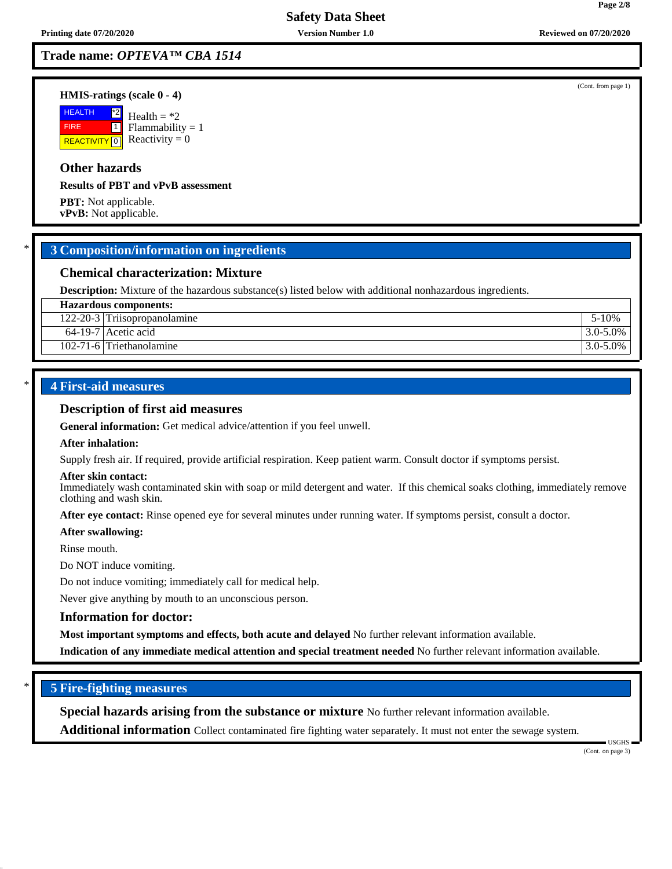**Trade name:** *OPTEVA™ CBA 1514*

#### **HMIS-ratings (scale 0 - 4)**

**HEALTH**  FIRE **REACTIVITY** 0  $^{\ast 2}$  $\boxed{1}$ Health  $= *2$  $Flammability = 1$ Reactivity  $= 0$ 

## **Other hazards**

**Results of PBT and vPvB assessment**

**PBT:** Not applicable. **vPvB:** Not applicable.

## \* **3 Composition/information on ingredients**

## **Chemical characterization: Mixture**

**Description:** Mixture of the hazardous substance(s) listed below with additional nonhazardous ingredients.

| <b>Hazardous components:</b>   |               |  |
|--------------------------------|---------------|--|
| $122-20-3$ Triisopropanolamine | 5-10%         |  |
| $64-19-7$ Acetic acid          | $3.0 - 5.0\%$ |  |
| 102-71-6 Triethanolamine       | $3.0 - 5.0\%$ |  |

## \* **4 First-aid measures**

#### **Description of first aid measures**

**General information:** Get medical advice/attention if you feel unwell.

#### **After inhalation:**

Supply fresh air. If required, provide artificial respiration. Keep patient warm. Consult doctor if symptoms persist.

#### **After skin contact:**

Immediately wash contaminated skin with soap or mild detergent and water. If this chemical soaks clothing, immediately remove clothing and wash skin.

**After eye contact:** Rinse opened eye for several minutes under running water. If symptoms persist, consult a doctor.

#### **After swallowing:**

Rinse mouth.

Do NOT induce vomiting.

Do not induce vomiting; immediately call for medical help.

Never give anything by mouth to an unconscious person.

### **Information for doctor:**

**Most important symptoms and effects, both acute and delayed** No further relevant information available.

**Indication of any immediate medical attention and special treatment needed** No further relevant information available.

## \* **5 Fire-fighting measures**

**Special hazards arising from the substance or mixture** No further relevant information available.

**Additional information** Collect contaminated fire fighting water separately. It must not enter the sewage system.

 USGHS (Cont. on page 3)

(Cont. from page 1)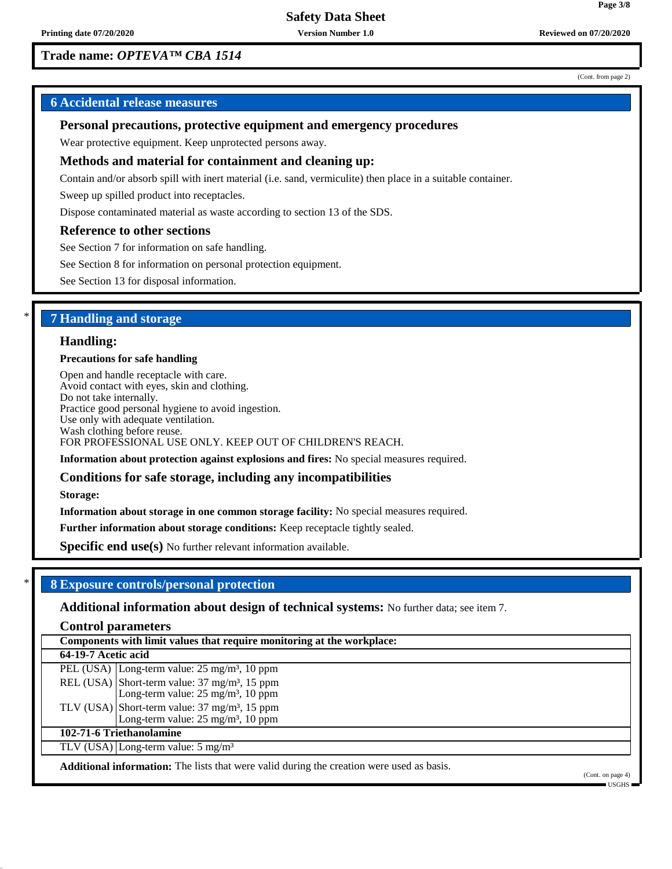## **Trade name:** *OPTEVA™ CBA 1514*

#### (Cont. from page 2)

**Page 3/8**

## **6 Accidental release measures**

## **Personal precautions, protective equipment and emergency procedures**

Wear protective equipment. Keep unprotected persons away.

### **Methods and material for containment and cleaning up:**

Contain and/or absorb spill with inert material (i.e. sand, vermiculite) then place in a suitable container.

Sweep up spilled product into receptacles.

Dispose contaminated material as waste according to section 13 of the SDS.

### **Reference to other sections**

See Section 7 for information on safe handling.

See Section 8 for information on personal protection equipment.

See Section 13 for disposal information.

## \* **7 Handling and storage**

#### **Handling:**

#### **Precautions for safe handling**

Open and handle receptacle with care. Avoid contact with eyes, skin and clothing. Do not take internally. Practice good personal hygiene to avoid ingestion. Use only with adequate ventilation. Wash clothing before reuse. FOR PROFESSIONAL USE ONLY. KEEP OUT OF CHILDREN'S REACH.

**Information about protection against explosions and fires:** No special measures required.

### **Conditions for safe storage, including any incompatibilities**

**Storage:**

**Information about storage in one common storage facility:** No special measures required.

**Further information about storage conditions:** Keep receptacle tightly sealed.

**Specific end use(s)** No further relevant information available.

### \* **8 Exposure controls/personal protection**

**Additional information about design of technical systems:** No further data; see item 7.

**Control parameters**

**Components with limit values that require monitoring at the workplace:**

**64-19-7 Acetic acid**

PEL (USA) Long-term value: 25 mg/m<sup>3</sup>, 10 ppm REL (USA) Short-term value:  $37 \text{ mg/m}^3$ ,  $15 \text{ ppm}$ Long-term value:  $25 \text{ mg/m}^3$ ,  $10 \text{ ppm}$ TLV (USA) Short-term value:  $37 \text{ mg/m}^3$ ,  $15 \text{ ppm}$ Long-term value: 25 mg/m<sup>3</sup>, 10 ppm

#### **102-71-6 Triethanolamine**

TLV (USA) Long-term value: 5 mg/m<sup>3</sup>

**Additional information:** The lists that were valid during the creation were used as basis.

(Cont. on page 4) USGHS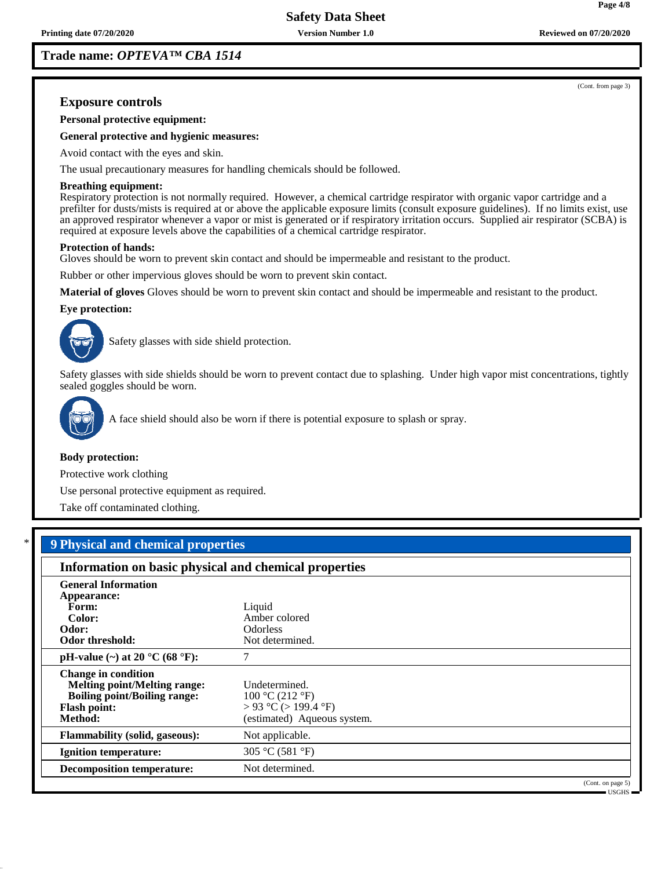**Trade name:** *OPTEVA™ CBA 1514*

(Cont. from page 3)

## **Exposure controls**

**Personal protective equipment:**

**General protective and hygienic measures:**

Avoid contact with the eyes and skin.

The usual precautionary measures for handling chemicals should be followed.

#### **Breathing equipment:**

Respiratory protection is not normally required. However, a chemical cartridge respirator with organic vapor cartridge and a prefilter for dusts/mists is required at or above the applicable exposure limits (consult exposure guidelines). If no limits exist, use an approved respirator whenever a vapor or mist is generated or if respiratory irritation occurs. Supplied air respirator (SCBA) is required at exposure levels above the capabilities of a chemical cartridge respirator.

#### **Protection of hands:**

Gloves should be worn to prevent skin contact and should be impermeable and resistant to the product.

Rubber or other impervious gloves should be worn to prevent skin contact.

**Material of gloves** Gloves should be worn to prevent skin contact and should be impermeable and resistant to the product.

#### **Eye protection:**



Safety glasses with side shield protection.

Safety glasses with side shields should be worn to prevent contact due to splashing. Under high vapor mist concentrations, tightly sealed goggles should be worn.



A face shield should also be worn if there is potential exposure to splash or spray.

#### **Body protection:**

Protective work clothing

Use personal protective equipment as required.

Take off contaminated clothing.

## \* **9 Physical and chemical properties**

| Information on basic physical and chemical properties                                                                                      |                                                                                         |                      |
|--------------------------------------------------------------------------------------------------------------------------------------------|-----------------------------------------------------------------------------------------|----------------------|
| <b>General Information</b><br>Appearance:<br>Form:<br>Color:<br>Odor:<br><b>Odor threshold:</b>                                            | Liquid<br>Amber colored<br><b>Odorless</b><br>Not determined.                           |                      |
| pH-value (~) at 20 $^{\circ}$ C (68 $^{\circ}$ F):                                                                                         | 7                                                                                       |                      |
| <b>Change in condition</b><br><b>Melting point/Melting range:</b><br><b>Boiling point/Boiling range:</b><br><b>Flash point:</b><br>Method: | Undetermined.<br>100 °C (212 °F)<br>> 93 °C (> 199.4 °F)<br>(estimated) Aqueous system. |                      |
| <b>Flammability (solid, gaseous):</b>                                                                                                      | Not applicable.                                                                         |                      |
| <b>Ignition temperature:</b>                                                                                                               | 305 °C (581 °F)                                                                         |                      |
| <b>Decomposition temperature:</b>                                                                                                          | Not determined.                                                                         |                      |
|                                                                                                                                            |                                                                                         | (Cont. on page $5$ ) |

USGHS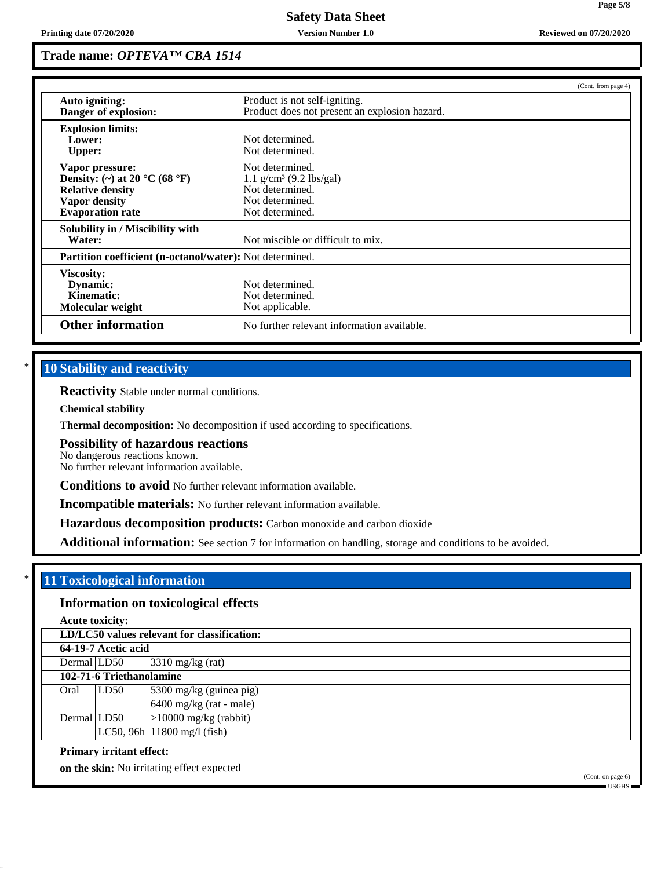## **Trade name:** *OPTEVA™ CBA 1514*

|                                                          |                                               | (Cont. from page 4) |
|----------------------------------------------------------|-----------------------------------------------|---------------------|
| Auto igniting:                                           | Product is not self-igniting.                 |                     |
| Danger of explosion:                                     | Product does not present an explosion hazard. |                     |
| <b>Explosion limits:</b>                                 |                                               |                     |
| Lower:                                                   | Not determined.                               |                     |
| <b>Upper:</b>                                            | Not determined.                               |                     |
| Vapor pressure:                                          | Not determined.                               |                     |
| Density: (~) at 20 °C (68 °F)                            | $1.1$ g/cm <sup>3</sup> (9.2 lbs/gal)         |                     |
| <b>Relative density</b>                                  | Not determined.                               |                     |
| Vapor density                                            | Not determined.                               |                     |
| <b>Evaporation rate</b>                                  | Not determined.                               |                     |
| Solubility in / Miscibility with                         |                                               |                     |
| Water:                                                   | Not miscible or difficult to mix.             |                     |
| Partition coefficient (n-octanol/water): Not determined. |                                               |                     |
| Viscosity:                                               |                                               |                     |
| Dynamic:                                                 | Not determined.                               |                     |
| Kinematic:                                               | Not determined.                               |                     |
| Molecular weight                                         | Not applicable.                               |                     |
| <b>Other information</b>                                 | No further relevant information available.    |                     |

## **10 Stability and reactivity**

**Reactivity** Stable under normal conditions.

**Chemical stability**

**Thermal decomposition:** No decomposition if used according to specifications.

#### **Possibility of hazardous reactions**

No dangerous reactions known.

No further relevant information available.

**Conditions to avoid** No further relevant information available.

**Incompatible materials:** No further relevant information available.

**Hazardous decomposition products:** Carbon monoxide and carbon dioxide

**Additional information:** See section 7 for information on handling, storage and conditions to be avoided.

## \* **11 Toxicological information**

## **Information on toxicological effects**

**Acute toxicity:**

| LD/LC50 values relevant for classification: |                          |                               |  |  |
|---------------------------------------------|--------------------------|-------------------------------|--|--|
| 64-19-7 Acetic acid                         |                          |                               |  |  |
| Dermal LD50                                 |                          | $3310$ mg/kg (rat)            |  |  |
|                                             | 102-71-6 Triethanolamine |                               |  |  |
| Oral                                        | LD50                     | 5300 mg/kg (guinea pig)       |  |  |
|                                             |                          | 6400 mg/kg (rat - male)       |  |  |
| Dermal LD50                                 |                          | $>10000$ mg/kg (rabbit)       |  |  |
|                                             |                          | $LC50, 96h$ 11800 mg/l (fish) |  |  |
|                                             |                          |                               |  |  |

### **Primary irritant effect:**

**on the skin:** No irritating effect expected

(Cont. on page 6) USGHS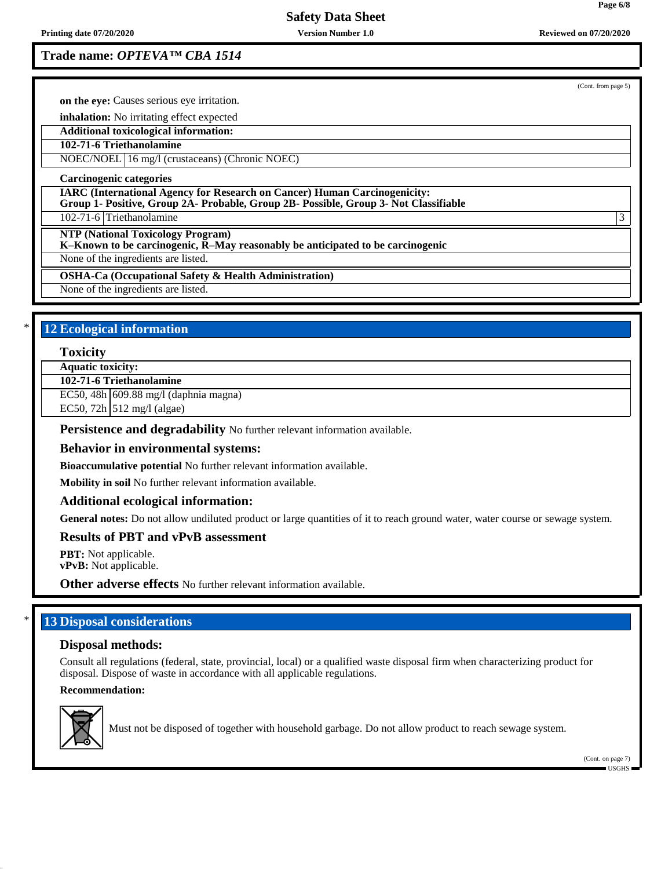**Printing date 07/20/2020 Version Number 1.0 Reviewed on 07/20/2020**

# **Safety Data Sheet**

**Trade name:** *OPTEVA™ CBA 1514*

|                                                                                                                                                                          | (Cont. from page 5) |
|--------------------------------------------------------------------------------------------------------------------------------------------------------------------------|---------------------|
| on the eve: Causes serious eve irritation.                                                                                                                               |                     |
| <b>inhalation:</b> No irritating effect expected                                                                                                                         |                     |
| Additional toxicological information:                                                                                                                                    |                     |
| 102-71-6 Triethanolamine                                                                                                                                                 |                     |
| NOEC/NOEL 16 mg/l (crustaceans) (Chronic NOEC)                                                                                                                           |                     |
| Carcinogenic categories                                                                                                                                                  |                     |
| <b>IARC</b> (International Agency for Research on Cancer) Human Carcinogenicity:<br>Group 1- Positive, Group 2A- Probable, Group 2B- Possible, Group 3- Not Classifiable |                     |
| 102-71-6 Triethanolamine                                                                                                                                                 | 3                   |
| <b>NTP (National Toxicology Program)</b><br>$K-Known$ to be carcinogenic, $\overline{R}-May$ reasonably be anticipated to be carcinogenic                                |                     |
| None of the ingredients are listed.                                                                                                                                      |                     |
| <b>OSHA-Ca (Occupational Safety &amp; Health Administration)</b>                                                                                                         |                     |
| None of the ingredients are listed.                                                                                                                                      |                     |

## **12 Ecological information**

**Toxicity**

**Aquatic toxicity:**

**102-71-6 Triethanolamine**

EC50, 48h 609.88 mg/l (daphnia magna)

EC50,  $72h$  512 mg/l (algae)

Persistence and degradability No further relevant information available.

### **Behavior in environmental systems:**

**Bioaccumulative potential** No further relevant information available.

**Mobility in soil** No further relevant information available.

## **Additional ecological information:**

**General notes:** Do not allow undiluted product or large quantities of it to reach ground water, water course or sewage system.

## **Results of PBT and vPvB assessment**

**PBT:** Not applicable. **vPvB:** Not applicable.

**Other adverse effects** No further relevant information available.

## **13 Disposal considerations**

### **Disposal methods:**

Consult all regulations (federal, state, provincial, local) or a qualified waste disposal firm when characterizing product for disposal. Dispose of waste in accordance with all applicable regulations.

## **Recommendation:**



Must not be disposed of together with household garbage. Do not allow product to reach sewage system.

(Cont. on page 7) USGHS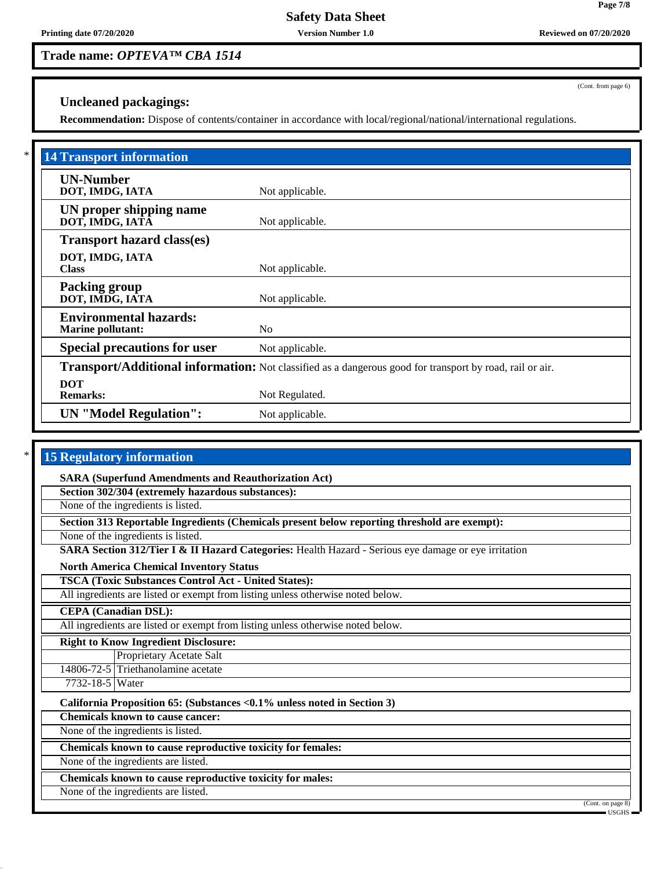## **Trade name:** *OPTEVA™ CBA 1514*

(Cont. from page 6)

## **Uncleaned packagings:**

**Recommendation:** Dispose of contents/container in accordance with local/regional/national/international regulations.

| <b>14 Transport information</b>                           |                                                                                                          |
|-----------------------------------------------------------|----------------------------------------------------------------------------------------------------------|
| <b>UN-Number</b><br>DOT, IMDG, IATA                       | Not applicable.                                                                                          |
| UN proper shipping name<br>DOT, IMDG, IATA                | Not applicable.                                                                                          |
| <b>Transport hazard class(es)</b>                         |                                                                                                          |
| DOT, IMDG, IATA<br><b>Class</b>                           | Not applicable.                                                                                          |
| <b>Packing group</b><br>DOT, IMDG, IATA                   | Not applicable.                                                                                          |
| <b>Environmental hazards:</b><br><b>Marine pollutant:</b> | N <sub>0</sub>                                                                                           |
| <b>Special precautions for user</b>                       | Not applicable.                                                                                          |
|                                                           | Transport/Additional information: Not classified as a dangerous good for transport by road, rail or air. |
| <b>DOT</b><br><b>Remarks:</b>                             | Not Regulated.                                                                                           |
| <b>UN</b> "Model Regulation":                             | Not applicable.                                                                                          |

## **15 Regulatory information**

**SARA (Superfund Amendments and Reauthorization Act)**

**Section 302/304 (extremely hazardous substances):**

None of the ingredients is listed.

**Section 313 Reportable Ingredients (Chemicals present below reporting threshold are exempt):**

None of the ingredients is listed.

**SARA Section 312/Tier I & II Hazard Categories:** Health Hazard - Serious eye damage or eye irritation

**North America Chemical Inventory Status**

**TSCA (Toxic Substances Control Act - United States):**

All ingredients are listed or exempt from listing unless otherwise noted below.

**CEPA (Canadian DSL):**

All ingredients are listed or exempt from listing unless otherwise noted below.

**Right to Know Ingredient Disclosure:**

Proprietary Acetate Salt

14806-72-5 Triethanolamine acetate 7732-18-5 Water

**California Proposition 65: (Substances <0.1% unless noted in Section 3)**

**Chemicals known to cause cancer:**

None of the ingredients is listed.

**Chemicals known to cause reproductive toxicity for females:**

None of the ingredients are listed.

**Chemicals known to cause reproductive toxicity for males:**

None of the ingredients are listed.

(Cont. on page 8) USGHS

**Page 7/8**